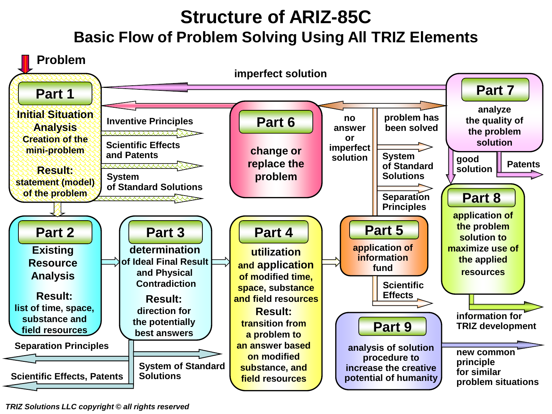# **Structure of ARIZ-85C Basic Flow of Problem Solving Using All TRIZ Elements**



*TRIZ Solutions LLC copyright © all rights reserved*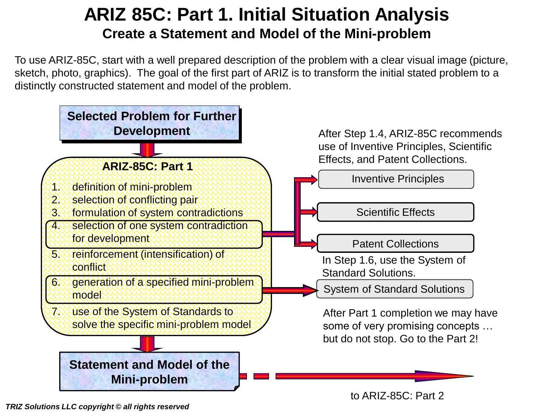## **ARIZ 85C: Part 1. Initial Situation Analysis Create a Statement and Model of the Mini-problem**

To use ARIZ-85C, start with a well prepared description of the problem with a clear visual image (picture, sketch, photo, graphics). The goal of the first part of ARIZ is to transform the initial stated problem to a distinctly constructed statement and model of the problem.



*TRIZ Solutions LLC copyright © all rights reserved*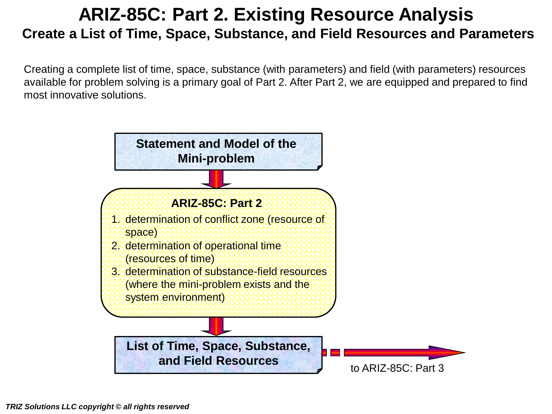## **ARIZ-85C: Part 2. Existing Resource Analysis Create a List of Time, Space, Substance, and Field Resources and Parameters**

Creating a complete list of time, space, substance (with parameters) and field (with parameters) resources available for problem solving is a primary goal of Part 2. After Part 2, we are equipped and prepared to find most innovative solutions.

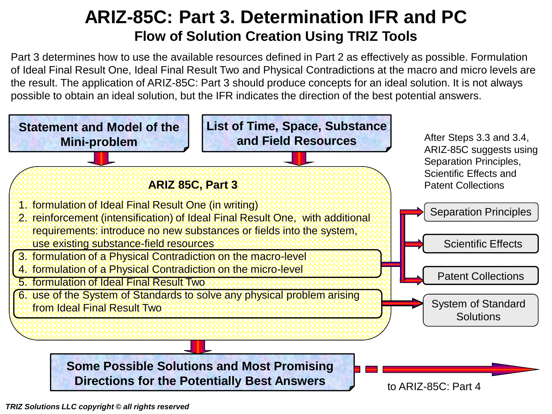### **ARIZ-85C: Part 3. Determination IFR and PC Flow of Solution Creation Using TRIZ Tools**

Part 3 determines how to use the available resources defined in Part 2 as effectively as possible. Formulation of Ideal Final Result One, Ideal Final Result Two and Physical Contradictions at the macro and micro levels are the result. The application of ARIZ-85C: Part 3 should produce concepts for an ideal solution. It is not always possible to obtain an ideal solution, but the IFR indicates the direction of the best potential answers.

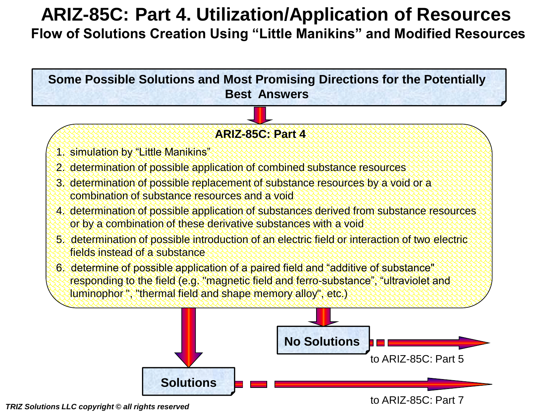# **ARIZ-85C: Part 4. Utilization/Application of Resources**

**Flow of Solutions Creation Using "Little Manikins" and Modified Resources**



*TRIZ Solutions LLC copyright © all rights reserved*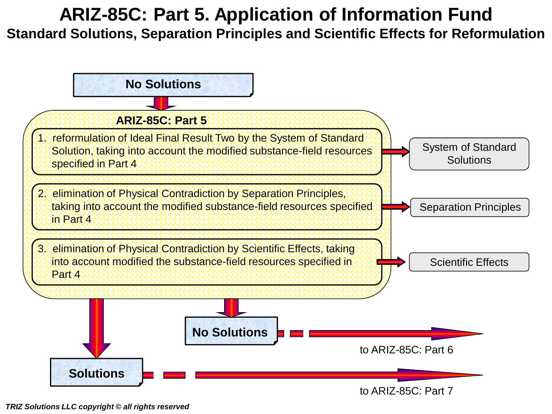# **ARIZ-85C: Part 5. Application of Information Fund**

**Standard Solutions, Separation Principles and Scientific Effects for Reformulation**



*TRIZ Solutions LLC copyright © all rights reserved*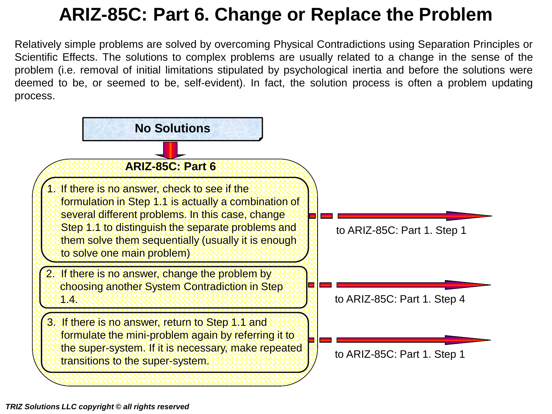# **ARIZ-85C: Part 6. Change or Replace the Problem**

Relatively simple problems are solved by overcoming Physical Contradictions using Separation Principles or Scientific Effects. The solutions to complex problems are usually related to a change in the sense of the problem (i.e. removal of initial limitations stipulated by psychological inertia and before the solutions were deemed to be, or seemed to be, self-evident). In fact, the solution process is often a problem updating process.

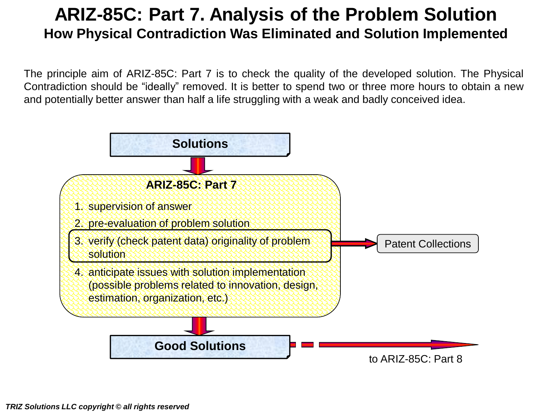### **ARIZ-85C: Part 7. Analysis of the Problem Solution How Physical Contradiction Was Eliminated and Solution Implemented**

The principle aim of ARIZ-85C: Part 7 is to check the quality of the developed solution. The Physical Contradiction should be "ideally" removed. It is better to spend two or three more hours to obtain a new and potentially better answer than half a life struggling with a weak and badly conceived idea.